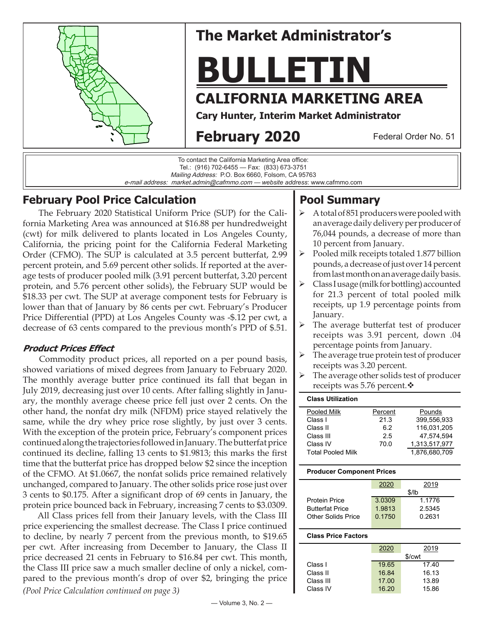

# **The Market Administrator's**

# **BULLETIN**

# **CALIFORNIA MARKETING AREA**

**Cary Hunter, Interim Market Administrator**

# **February 2020**

Federal Order No. 51

To contact the California Marketing Area office: Tel.: (916) 702-6455 — Fax: (833) 673-3751 Mailing Address: P.O. Box 6660, Folsom, CA 95763 e-mail address: market.admin@cafmmo.com — *website address*: www.cafmmo.com

## **February Pool Price Calculation**

 The February 2020 Statistical Uniform Price (SUP) for the California Marketing Area was announced at \$16.88 per hundredweight (cwt) for milk delivered to plants located in Los Angeles County, California, the pricing point for the California Federal Marketing Order (CFMO). The SUP is calculated at 3.5 percent butterfat, 2.99 percent protein, and 5.69 percent other solids. If reported at the average tests of producer pooled milk (3.91 percent butterfat, 3.20 percent protein, and 5.76 percent other solids), the February SUP would be \$18.33 per cwt. The SUP at average component tests for February is lower than that of January by 86 cents per cwt. February's Producer Price Differential (PPD) at Los Angeles County was -\$.12 per cwt, a decrease of 63 cents compared to the previous month's PPD of \$.51.

#### **Product Prices Effect**

 Commodity product prices, all reported on a per pound basis, showed variations of mixed degrees from January to February 2020. The monthly average butter price continued its fall that began in July 2019, decreasing just over 10 cents. After falling slightly in January, the monthly average cheese price fell just over 2 cents. On the other hand, the nonfat dry milk (NFDM) price stayed relatively the same, while the dry whey price rose slightly, by just over 3 cents. With the exception of the protein price, February's component prices continued along the trajectories followed in January. The butterfat price continued its decline, falling 13 cents to \$1.9813; this marks the first time that the butterfat price has dropped below \$2 since the inception of the CFMO. At \$1.0667, the nonfat solids price remained relatively unchanged, compared to January. The other solids price rose just over 3 cents to \$0.175. After a significant drop of 69 cents in January, the protein price bounced back in February, increasing 7 cents to \$3.0309.

*(Pool Price Calculation continued on page 3)* All Class prices fell from their January levels, with the Class III price experiencing the smallest decrease. The Class I price continued to decline, by nearly 7 percent from the previous month, to \$19.65 per cwt. After increasing from December to January, the Class II price decreased 21 cents in February to \$16.84 per cwt. This month, the Class III price saw a much smaller decline of only a nickel, compared to the previous month's drop of over \$2, bringing the price

## **Pool Summary**

- $\triangleright$  A total of 851 producers were pooled with an average daily delivery per producer of 76,044 pounds, a decrease of more than 10 percent from January.
- $\triangleright$  Pooled milk receipts totaled 1.877 billion pounds, a decrease of just over 14 percent from last month on an average daily basis.
- $\triangleright$  Class I usage (milk for bottling) accounted for 21.3 percent of total pooled milk receipts, up 1.9 percentage points from January.
- The average butterfat test of producer receipts was 3.91 percent, down .04 percentage points from January.
- The average true protein test of producer receipts was 3.20 percent.
- The average other solids test of producer receipts was 5.76 percent. $\mathbf{\hat{v}}$

| <b>Class Utilization</b> |                       |               |
|--------------------------|-----------------------|---------------|
| Pooled Milk              | Percent               | Pounds        |
| Class I                  | 21.3                  | 399.556.933   |
| Class II                 | 62                    | 116,031,205   |
| Class III                | 2.5                   | 47.574.594    |
| Class IV                 | 1,313,517,977<br>70.0 |               |
| <b>Total Pooled Milk</b> |                       | 1.876,680,709 |

#### **Producer Component Prices**

|                        | 2020   | 2019   |  |
|------------------------|--------|--------|--|
|                        | \$/lb  |        |  |
| <b>Protein Price</b>   | 3.0309 | 1.1776 |  |
| <b>Butterfat Price</b> | 1.9813 | 2.5345 |  |
| Other Solids Price     | 0.1750 | 0.2631 |  |
|                        |        |        |  |

#### **Class Price Factors**

|           | 2020   | 2019  |  |
|-----------|--------|-------|--|
|           | \$/cwt |       |  |
| Class I   | 19.65  | 17.40 |  |
| Class II  | 16.84  | 16.13 |  |
| Class III | 17.00  | 13.89 |  |
| Class IV  | 16.20  | 15.86 |  |
|           |        |       |  |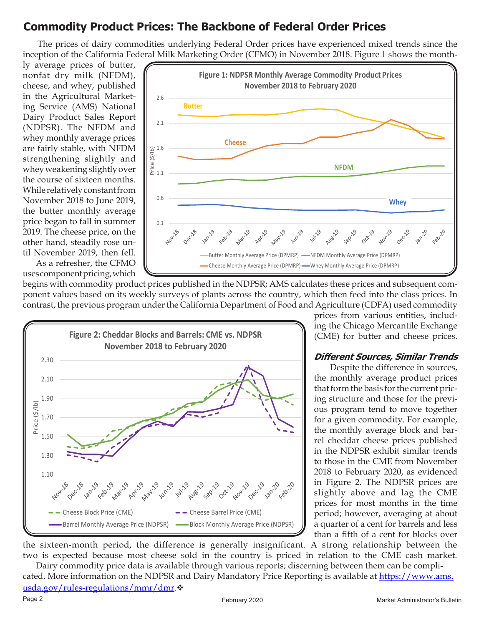## **Commodity Product Prices: The Backbone of Federal Order Prices**

The prices of dairy commodities underlying Federal Order prices have experienced mixed trends since the inception of the California Federal Milk Marketing Order (CFMO) in November 2018. Figure 1 shows the month-

ly average prices of butter, nonfat dry milk (NFDM), cheese, and whey, published in the Agricultural Marketing Service (AMS) National Dairy Product Sales Report (NDPSR). The NFDM and whey monthly average prices are fairly stable, with NFDM strengthening slightly and whey weakening slightly over the course of sixteen months. While relatively constant from November 2018 to June 2019, the butter monthly average price began to fall in summer 2019. The cheese price, on the other hand, steadily rose until November 2019, then fell.

 As a refresher, the CFMO uses component pricing, which



begins with commodity product prices published in the NDPSR; AMS calculates these prices and subsequent component values based on its weekly surveys of plants across the country, which then feed into the class prices. In contrast, the previous program under the California Department of Food and Agriculture (CDFA) used commodity



prices from various entities, including the Chicago Mercantile Exchange (CME) for butter and cheese prices.

#### **Different Sources, Similar Trends**

Despite the difference in sources, the monthly average product prices that form the basis for the current pricing structure and those for the previous program tend to move together for a given commodity. For example, the monthly average block and barrel cheddar cheese prices published in the NDPSR exhibit similar trends to those in the CME from November 2018 to February 2020, as evidenced in Figure 2. The NDPSR prices are slightly above and lag the CME prices for most months in the time period; however, averaging at about a quarter of a cent for barrels and less than a fifth of a cent for blocks over

the sixteen-month period, the difference is generally insignificant. A strong relationship between the two is expected because most cheese sold in the country is priced in relation to the CME cash market. Dairy commodity price data is available through various reports; discerning between them can be compli-

cated. More information on the NDPSR and Dairy Mandatory Price Reporting is available at https://www.ams. usda.gov/rules-regulations/mmr/dmr. $\diamond$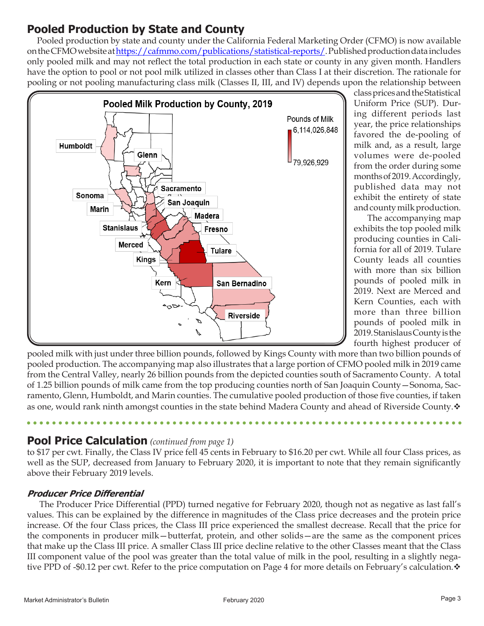## **Pooled Production by State and County**

 Pooled production by state and county under the California Federal Marketing Order (CFMO) is now available on the CFMO website at https://cafmmo.com/publications/statistical-reports/. Published production data includes only pooled milk and may not reflect the total production in each state or county in any given month. Handlers have the option to pool or not pool milk utilized in classes other than Class I at their discretion. The rationale for pooling or not pooling manufacturing class milk (Classes II, III, and IV) depends upon the relationship between



class prices and the Statistical Uniform Price (SUP). During different periods last year, the price relationships favored the de-pooling of milk and, as a result, large volumes were de-pooled from the order during some months of 2019. Accordingly, published data may not exhibit the entirety of state and county milk production.

 The accompanying map exhibits the top pooled milk producing counties in California for all of 2019. Tulare County leads all counties with more than six billion pounds of pooled milk in 2019. Next are Merced and Kern Counties, each with more than three billion pounds of pooled milk in 2019. Stanislaus County is the fourth highest producer of

pooled milk with just under three billion pounds, followed by Kings County with more than two billion pounds of pooled production. The accompanying map also illustrates that a large portion of CFMO pooled milk in 2019 came from the Central Valley, nearly 26 billion pounds from the depicted counties south of Sacramento County. A total of 1.25 billion pounds of milk came from the top producing counties north of San Joaquin County—Sonoma, Sacramento, Glenn, Humboldt, and Marin counties. The cumulative pooled production of those five counties, if taken as one, would rank ninth amongst counties in the state behind Madera County and ahead of Riverside County.

### **Pool Price Calculation** *(continued from page 1)*

to \$17 per cwt. Finally, the Class IV price fell 45 cents in February to \$16.20 per cwt. While all four Class prices, as well as the SUP, decreased from January to February 2020, it is important to note that they remain significantly above their February 2019 levels.

#### **Producer Price Differential**

 The Producer Price Differential (PPD) turned negative for February 2020, though not as negative as last fall's values. This can be explained by the difference in magnitudes of the Class price decreases and the protein price increase. Of the four Class prices, the Class III price experienced the smallest decrease. Recall that the price for the components in producer milk—butterfat, protein, and other solids—are the same as the component prices that make up the Class III price. A smaller Class III price decline relative to the other Classes meant that the Class III component value of the pool was greater than the total value of milk in the pool, resulting in a slightly negative PPD of -\$0.12 per cwt. Refer to the price computation on Page 4 for more details on February's calculation.  $\bullet$